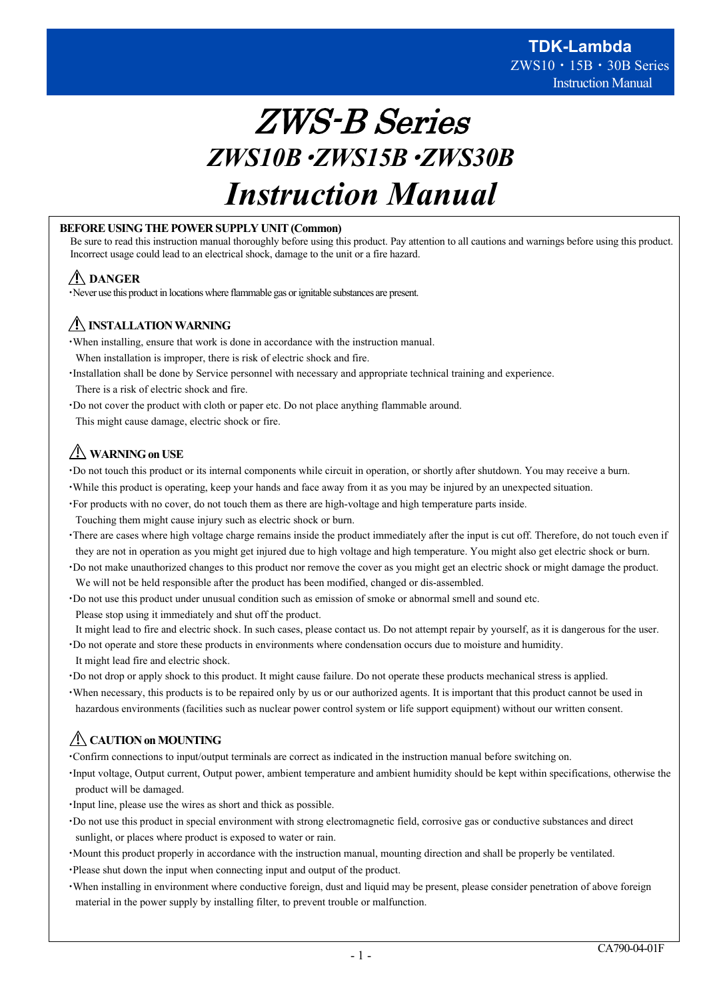# ZWS-B Series *ZWS10B*・*ZWS15B*・*ZWS30B Instruction Manual*

# **BEFORE USING THE POWER SUPPLY UNIT (Common)**

Be sure to read this instruction manual thoroughly before using this product. Pay attention to all cautions and warnings before using this product. Incorrect usage could lead to an electrical shock, damage to the unit or a fire hazard.

# **DANGER**

・Never use this product in locations where flammable gas or ignitable substances are present.

# **INSTALLATION WARNING**

- ・When installing, ensure that work is done in accordance with the instruction manual.
- When installation is improper, there is risk of electric shock and fire.
- ・Installation shall be done by Service personnel with necessary and appropriate technical training and experience. There is a risk of electric shock and fire.
- ・Do not cover the product with cloth or paper etc. Do not place anything flammable around.

This might cause damage, electric shock or fire.

# **WARNING on USE**

・Do not touch this product or its internal components while circuit in operation, or shortly after shutdown. You may receive a burn.

- ・While this product is operating, keep your hands and face away from it as you may be injured by an unexpected situation.
- ・For products with no cover, do not touch them as there are high-voltage and high temperature parts inside. Touching them might cause injury such as electric shock or burn.
- ・There are cases where high voltage charge remains inside the product immediately after the input is cut off. Therefore, do not touch even if they are not in operation as you might get injured due to high voltage and high temperature. You might also get electric shock or burn.
- ・Do not make unauthorized changes to this product nor remove the cover as you might get an electric shock or might damage the product. We will not be held responsible after the product has been modified, changed or dis-assembled.
- ・Do not use this product under unusual condition such as emission of smoke or abnormal smell and sound etc. Please stop using it immediately and shut off the product.
- It might lead to fire and electric shock. In such cases, please contact us. Do not attempt repair by yourself, as it is dangerous for the user.
- ・Do not operate and store these products in environments where condensation occurs due to moisture and humidity. It might lead fire and electric shock.
- ・Do not drop or apply shock to this product. It might cause failure. Do not operate these products mechanical stress is applied.
- ・When necessary, this products is to be repaired only by us or our authorized agents. It is important that this product cannot be used in hazardous environments (facilities such as nuclear power control system or life support equipment) without our written consent.

# **CAUTION on MOUNTING**

・Confirm connections to input/output terminals are correct as indicated in the instruction manual before switching on.

- ・Input voltage, Output current, Output power, ambient temperature and ambient humidity should be kept within specifications, otherwise the product will be damaged.
- ・Input line, please use the wires as short and thick as possible.
- ・Do not use this product in special environment with strong electromagnetic field, corrosive gas or conductive substances and direct sunlight, or places where product is exposed to water or rain.
- ・Mount this product properly in accordance with the instruction manual, mounting direction and shall be properly be ventilated.
- ・Please shut down the input when connecting input and output of the product.
- ・When installing in environment where conductive foreign, dust and liquid may be present, please consider penetration of above foreign material in the power supply by installing filter, to prevent trouble or malfunction.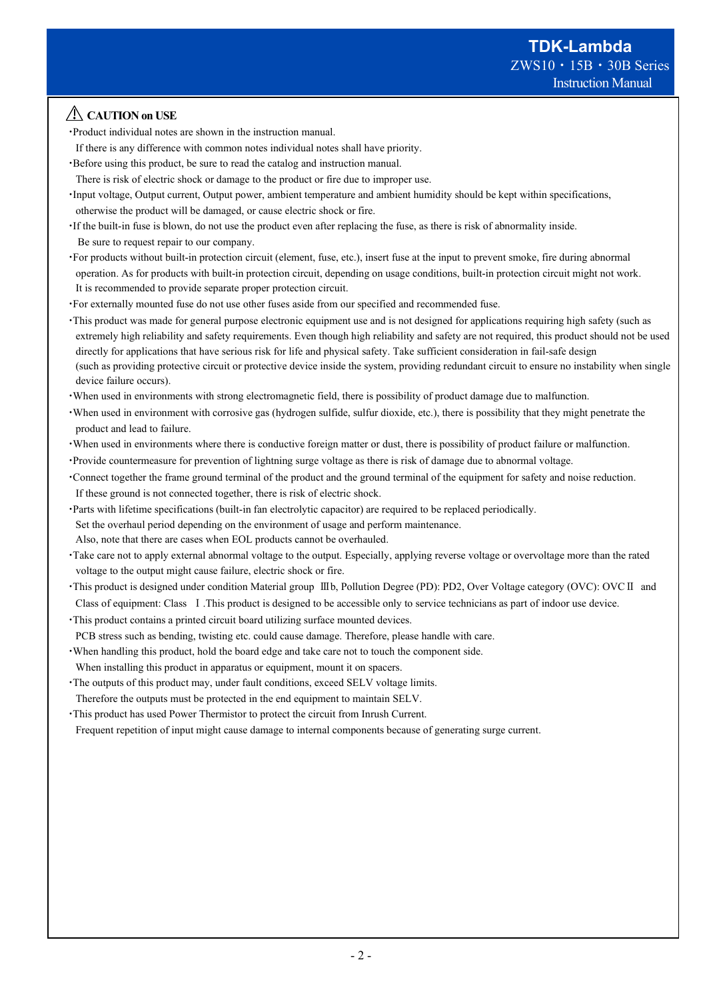# **CAUTION on USE**

- ・Product individual notes are shown in the instruction manual.
- If there is any difference with common notes individual notes shall have priority.
- ・Before using this product, be sure to read the catalog and instruction manual. There is risk of electric shock or damage to the product or fire due to improper use.
- ・Input voltage, Output current, Output power, ambient temperature and ambient humidity should be kept within specifications, otherwise the product will be damaged, or cause electric shock or fire.
- ・If the built-in fuse is blown, do not use the product even after replacing the fuse, as there is risk of abnormality inside. Be sure to request repair to our company.
- ・For products without built-in protection circuit (element, fuse, etc.), insert fuse at the input to prevent smoke, fire during abnormal operation. As for products with built-in protection circuit, depending on usage conditions, built-in protection circuit might not work. It is recommended to provide separate proper protection circuit.
- ・For externally mounted fuse do not use other fuses aside from our specified and recommended fuse.
- ・This product was made for general purpose electronic equipment use and is not designed for applications requiring high safety (such as extremely high reliability and safety requirements. Even though high reliability and safety are not required, this product should not be used directly for applications that have serious risk for life and physical safety. Take sufficient consideration in fail-safe design (such as providing protective circuit or protective device inside the system, providing redundant circuit to ensure no instability when single device failure occurs).
- ・When used in environments with strong electromagnetic field, there is possibility of product damage due to malfunction.
- ・When used in environment with corrosive gas (hydrogen sulfide, sulfur dioxide, etc.), there is possibility that they might penetrate the product and lead to failure.
- ・When used in environments where there is conductive foreign matter or dust, there is possibility of product failure or malfunction.
- ・Provide countermeasure for prevention of lightning surge voltage as there is risk of damage due to abnormal voltage.
- ・Connect together the frame ground terminal of the product and the ground terminal of the equipment for safety and noise reduction. If these ground is not connected together, there is risk of electric shock.
- ・Parts with lifetime specifications (built-in fan electrolytic capacitor) are required to be replaced periodically. Set the overhaul period depending on the environment of usage and perform maintenance. Also, note that there are cases when EOL products cannot be overhauled.
- ・Take care not to apply external abnormal voltage to the output. Especially, applying reverse voltage or overvoltage more than the rated voltage to the output might cause failure, electric shock or fire.
- ・This product is designed under condition Material group Ⅲb, Pollution Degree (PD): PD2, Over Voltage category (OVC): OVCⅡ and Class of equipment: Class Ⅰ.This product is designed to be accessible only to service technicians as part of indoor use device.
- ・This product contains a printed circuit board utilizing surface mounted devices. PCB stress such as bending, twisting etc. could cause damage. Therefore, please handle with care.
- ・When handling this product, hold the board edge and take care not to touch the component side. When installing this product in apparatus or equipment, mount it on spacers.
- ・The outputs of this product may, under fault conditions, exceed SELV voltage limits. Therefore the outputs must be protected in the end equipment to maintain SELV.
- ・This product has used Power Thermistor to protect the circuit from Inrush Current.

Frequent repetition of input might cause damage to internal components because of generating surge current.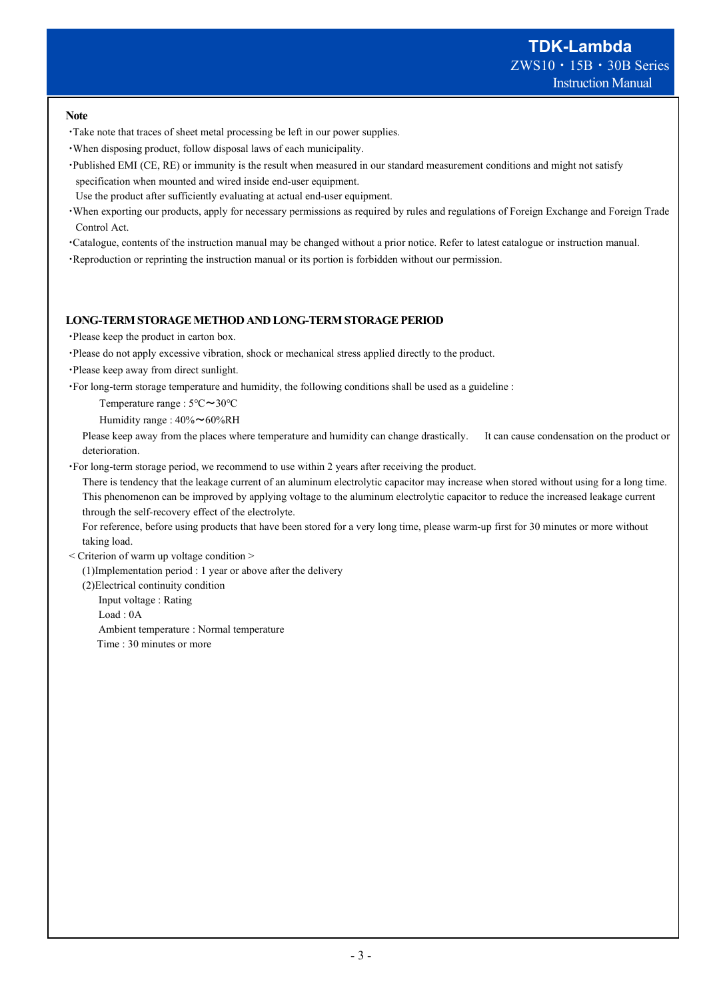#### **Note**

- ・Take note that traces of sheet metal processing be left in our power supplies.
- ・When disposing product, follow disposal laws of each municipality.
- ・Published EMI (CE, RE) or immunity is the result when measured in our standard measurement conditions and might not satisfy specification when mounted and wired inside end-user equipment.
- Use the product after sufficiently evaluating at actual end-user equipment.
- ・When exporting our products, apply for necessary permissions as required by rules and regulations of Foreign Exchange and Foreign Trade Control Act.
- ・Catalogue, contents of the instruction manual may be changed without a prior notice. Refer to latest catalogue or instruction manual.
- ・Reproduction or reprinting the instruction manual or its portion is forbidden without our permission.

#### **LONG-TERM STORAGE METHOD AND LONG-TERM STORAGE PERIOD**

- ・Please keep the product in carton box.
- ・Please do not apply excessive vibration, shock or mechanical stress applied directly to the product.
- ・Please keep away from direct sunlight.
- ・For long-term storage temperature and humidity, the following conditions shall be used as a guideline :

Temperature range : 5℃~30℃

Humidity range : 40%~60%RH

Please keep away from the places where temperature and humidity can change drastically. It can cause condensation on the product or deterioration.

・For long-term storage period, we recommend to use within 2 years after receiving the product.

There is tendency that the leakage current of an aluminum electrolytic capacitor may increase when stored without using for a long time. This phenomenon can be improved by applying voltage to the aluminum electrolytic capacitor to reduce the increased leakage current through the self-recovery effect of the electrolyte.

For reference, before using products that have been stored for a very long time, please warm-up first for 30 minutes or more without taking load.

< Criterion of warm up voltage condition >

(1)Implementation period : 1 year or above after the delivery

(2)Electrical continuity condition

Input voltage : Rating

Load : 0A

Ambient temperature : Normal temperature

Time : 30 minutes or more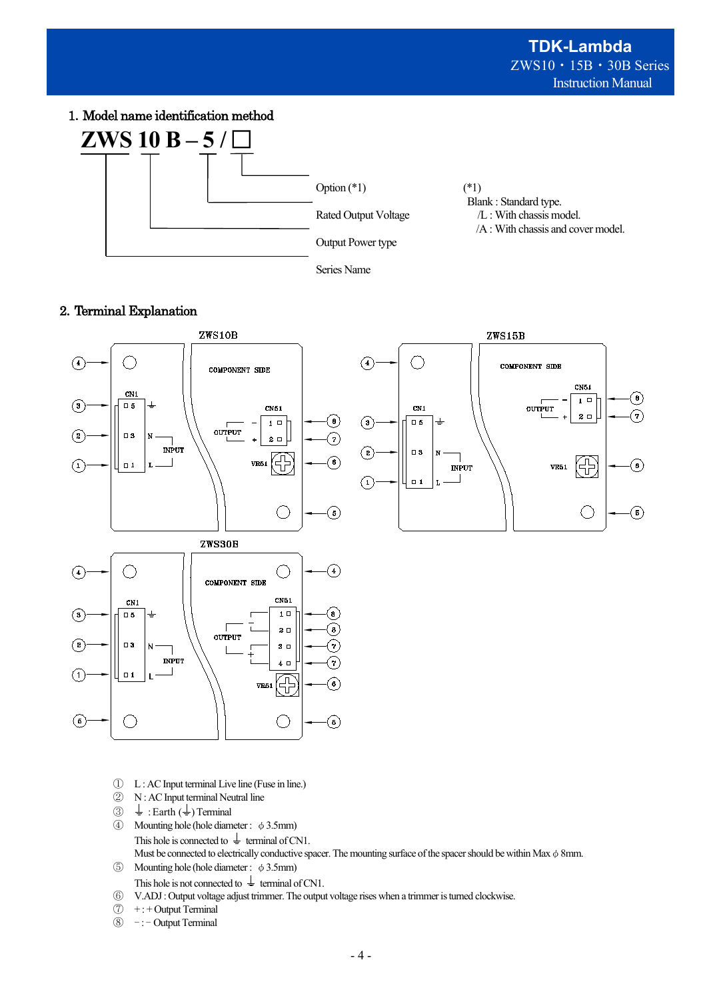1.Model name identification method



# 2.Terminal Explanation



- ① L : AC Input terminal Live line (Fuse in line.)
- ② N : AC Input terminal Neutral line
- $\circled{3} \quad \stackrel{\perp}{=} : \text{Earth } (\stackrel{\perp}{=}) \text{Terminal}$ <br>  $\circled{4} \quad \text{Mounting hole (hole diam)}$
- Mounting hole (hole diameter :  $\phi$  3.5mm) This hole is connected to  $\perp$  terminal of CN1. Must be connected to electrically conductive spacer. The mounting surface of the spacer should be within Max  $\phi$  8mm. ⑤ Mounting hole (hole diameter : φ3.5mm)
- This hole is not connected to  $\frac{1}{\epsilon}$  terminal of CN1.
- ⑥ V.ADJ : Output voltage adjust trimmer. The output voltage rises when a trimmer is turned clockwise.
- $\circled{7}$  + : + Output Terminal
- ⑧ : Output Terminal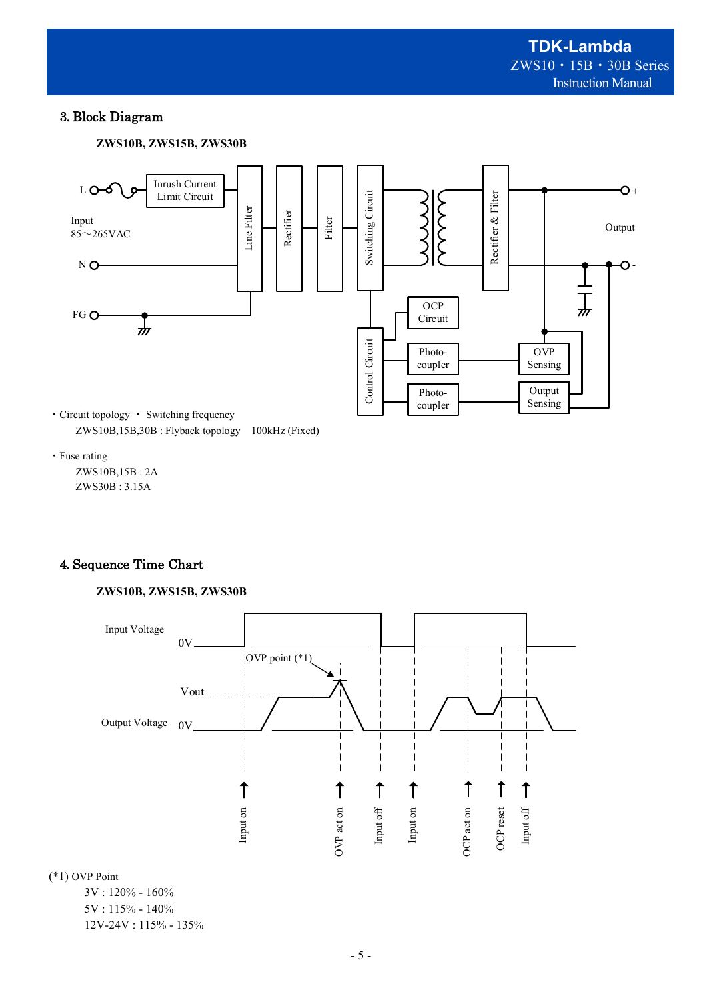# 3. Block Diagram





ZWS10B,15B,30B : Flyback topology 100kHz (Fixed)

・Fuse rating

ZWS10B,15B : 2A ZWS30B : 3.15A

# 4. Sequence Time Chart

# **ZWS10B, ZWS15B, ZWS30B**



(\*1) OVP Point

 3V : 120% - 160% 5V : 115% - 140% 12V-24V : 115% - 135%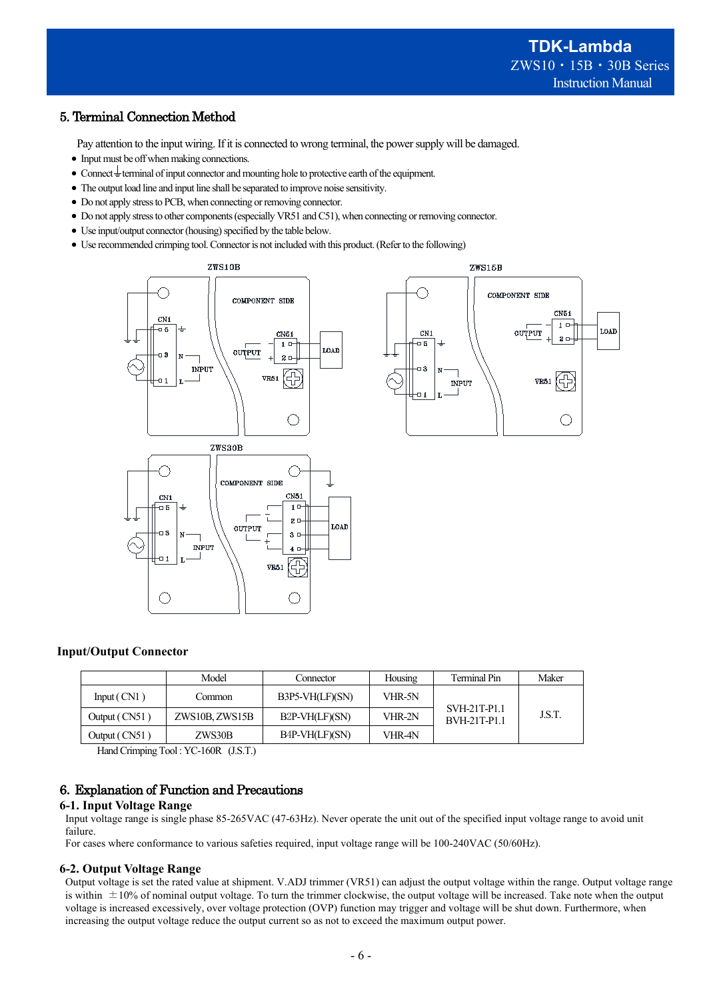# 5. Terminal Connection Method

Pay attention to the input wiring. If it is connected to wrong terminal, the power supply will be damaged.

- Input must be off when making connections.
- Connect  $\frac{1}{x}$  terminal of input connector and mounting hole to protective earth of the equipment.
- The output load line and input line shall be separated to improve noise sensitivity.
- Do not apply stress to PCB, when connecting or removing connector.
- Do not apply stress to other components (especially VR51 and C51), when connecting or removing connector.
- $\bullet$  Use input/output connector (housing) specified by the table below.
- Use recommended crimping tool.Connector is not included with this product. (Refer to the following)





## **Input/Output Connector**

|               | Model          | Connector                   | Housing | Terminal Pin                        | Maker  |
|---------------|----------------|-----------------------------|---------|-------------------------------------|--------|
| Input $(CN1)$ | Common         | $B3P5-VH(LF)(SN)$           | VHR-5N  |                                     |        |
| Output (CN51) | ZWS10B, ZWS15B | B <sub>2</sub> P-VH(LF)(SN) | VHR-2N  | SVH-21T-P1.1<br><b>BVH-21T-P1.1</b> | J.S.T. |
| Output (CN51) | ZWS30B         | B4P-VH(LF)(SN)              | VHR-4N  |                                     |        |

Hand Crimping Tool : YC-160R (J.S.T.)

## 6.Explanation of Function and Precautions

#### **6-1. Input Voltage Range**

Input voltage range is single phase 85-265VAC (47-63Hz). Never operate the unit out of the specified input voltage range to avoid unit failure.

For cases where conformance to various safeties required, input voltage range will be 100-240VAC (50/60Hz).

#### **6-2. Output Voltage Range**

Output voltage is set the rated value at shipment. V.ADJ trimmer (VR51) can adjust the output voltage within the range. Output voltage range is within  $\pm 10\%$  of nominal output voltage. To turn the trimmer clockwise, the output voltage will be increased. Take note when the output voltage is increased excessively, over voltage protection (OVP) function may trigger and voltage will be shut down. Furthermore, when increasing the output voltage reduce the output current so as not to exceed the maximum output power.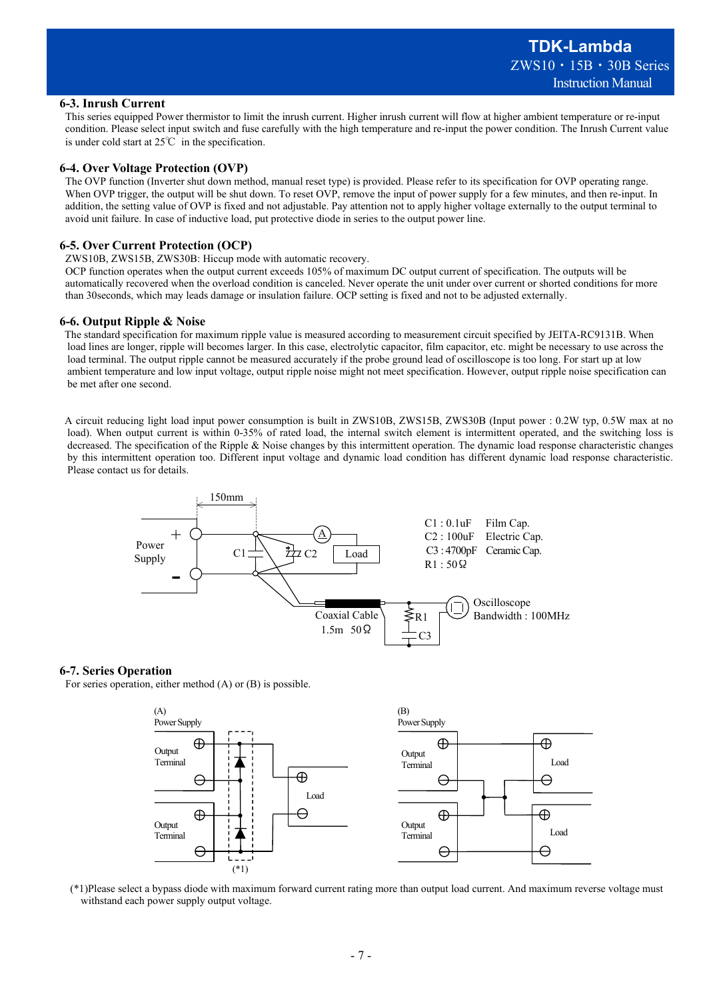#### **6-3. Inrush Current**

This series equipped Power thermistor to limit the inrush current. Higher inrush current will flow at higher ambient temperature or re-input condition. Please select input switch and fuse carefully with the high temperature and re-input the power condition. The Inrush Current value is under cold start at 25℃ in the specification.

#### **6-4. Over Voltage Protection (OVP)**

The OVP function (Inverter shut down method, manual reset type) is provided. Please refer to its specification for OVP operating range. When OVP trigger, the output will be shut down. To reset OVP, remove the input of power supply for a few minutes, and then re-input. In addition, the setting value of OVP is fixed and not adjustable. Pay attention not to apply higher voltage externally to the output terminal to avoid unit failure. In case of inductive load, put protective diode in series to the output power line.

#### **6-5. Over Current Protection (OCP)**

ZWS10B, ZWS15B, ZWS30B: Hiccup mode with automatic recovery.

OCP function operates when the output current exceeds 105% of maximum DC output current of specification. The outputs will be automatically recovered when the overload condition is canceled. Never operate the unit under over current or shorted conditions for more than 30seconds, which may leads damage or insulation failure. OCP setting is fixed and not to be adjusted externally.

#### **6-6. Output Ripple & Noise**

The standard specification for maximum ripple value is measured according to measurement circuit specified by JEITA-RC9131B. When load lines are longer, ripple will becomes larger. In this case, electrolytic capacitor, film capacitor, etc. might be necessary to use across the load terminal. The output ripple cannot be measured accurately if the probe ground lead of oscilloscope is too long. For start up at low ambient temperature and low input voltage, output ripple noise might not meet specification. However, output ripple noise specification can be met after one second.

A circuit reducing light load input power consumption is built in ZWS10B, ZWS15B, ZWS30B (Input power : 0.2W typ, 0.5W max at no load). When output current is within 0-35% of rated load, the internal switch element is intermittent operated, and the switching loss is decreased. The specification of the Ripple & Noise changes by this intermittent operation. The dynamic load response characteristic changes by this intermittent operation too. Different input voltage and dynamic load condition has different dynamic load response characteristic. Please contact us for details.



#### **6-7. Series Operation**

For series operation, either method (A) or (B) is possible.



(\*1)Please select a bypass diode with maximum forward current rating more than output load current. And maximum reverse voltage must withstand each power supply output voltage.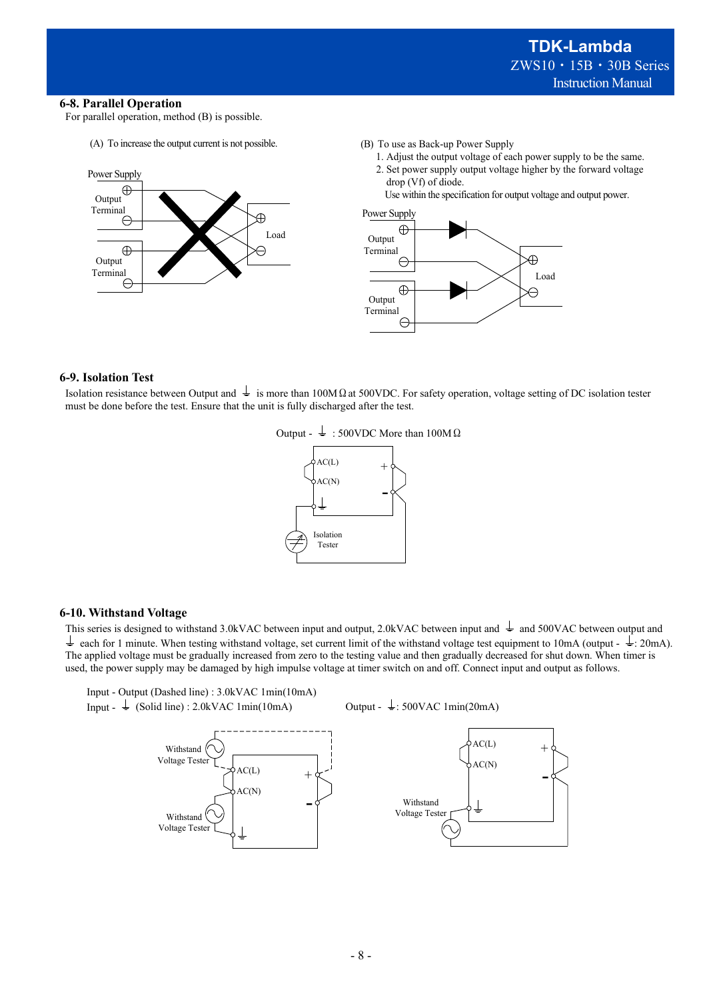#### **6-8. Parallel Operation**

For parallel operation, method (B) is possible.

(A) To increase the output current is not possible.



- (B) To use as Back-up Power Supply
	- 1. Adjust the output voltage of each power supply to be the same. 2. Set power supply output voltage higher by the forward voltage drop (Vf) of diode.

Use within the specification for output voltage and output power.



#### **6-9. Isolation Test**

Isolation resistance between Output and  $\perp$  is more than 100MΩat 500VDC. For safety operation, voltage setting of DC isolation tester must be done before the test. Ensure that the unit is fully discharged after the test.





## **6-10. Withstand Voltage**

This series is designed to withstand 3.0kVAC between input and output, 2.0kVAC between input and  $\frac{1}{2}$  and 500VAC between output and  $\frac{1}{\epsilon}$  each for 1 minute. When testing withstand voltage, set current limit of the withstand voltage test equipment to 10mA (output -  $\frac{1}{\epsilon}$ : 20mA). The applied voltage must be gradually increased from zero to the testing value and then gradually decreased for shut down. When timer is used, the power supply may be damaged by high impulse voltage at timer switch on and off. Connect input and output as follows.



Output -  $\frac{1}{2}$ : 500VAC 1min(20mA)



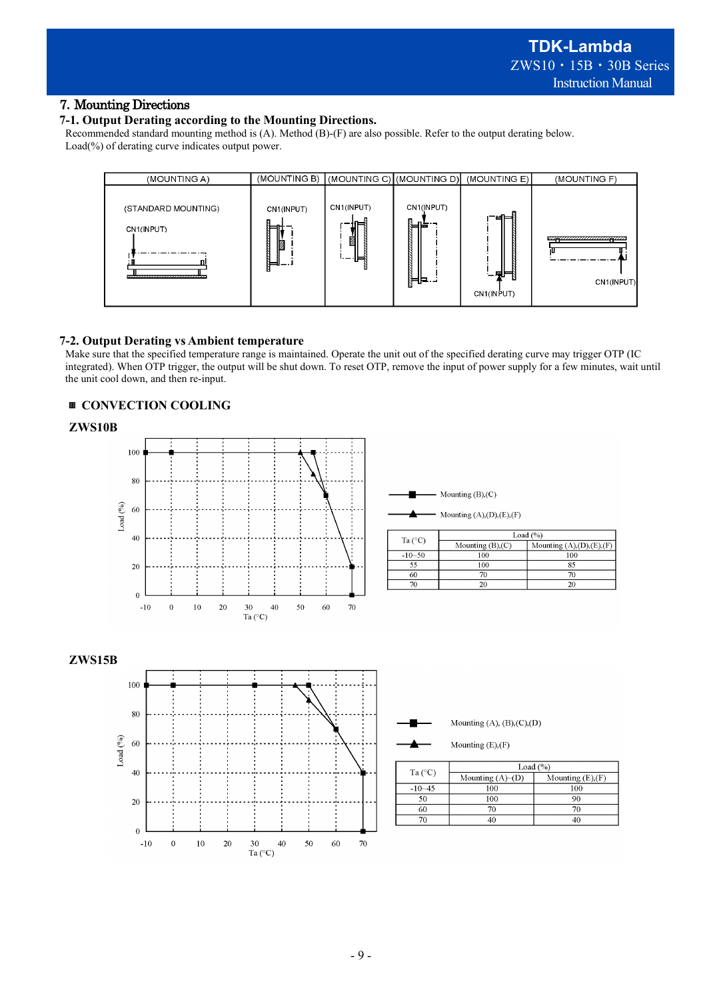# 7.Mounting Directions

## **7-1. Output Derating according to the Mounting Directions.**

Recommended standard mounting method is (A). Method (B)-(F) are also possible. Refer to the output derating below. Load(%) of derating curve indicates output power.



## **7-2. Output Derating vs Ambient temperature**

Make sure that the specified temperature range is maintained. Operate the unit out of the specified derating curve may trigger OTP (IC integrated). When OTP trigger, the output will be shut down. To reset OTP, remove the input of power supply for a few minutes, wait until the unit cool down, and then re-input.

## ▥ **CONVECTION COOLING**





| Ta $(^{\circ}C)$ | Load $(%$              |                            |  |
|------------------|------------------------|----------------------------|--|
|                  | Mounting $(B)$ , $(C)$ | Mounting $(A),(D),(E),(F)$ |  |
| $-10-50$         | 100                    | 100                        |  |
| 55               | 100                    | 85                         |  |
| 60               |                        | 70                         |  |
|                  |                        |                            |  |







Mounting (E),(F)

| Ta $(^{\circ}C)$ | Load $(%$          |                    |  |
|------------------|--------------------|--------------------|--|
|                  | Mounting $(A)~(D)$ | Mounting $(E),(F)$ |  |
| $-10 - 45$       | 100                | 100                |  |
| 50               | 100                | 90                 |  |
| 60               | 70                 | 70                 |  |
|                  |                    |                    |  |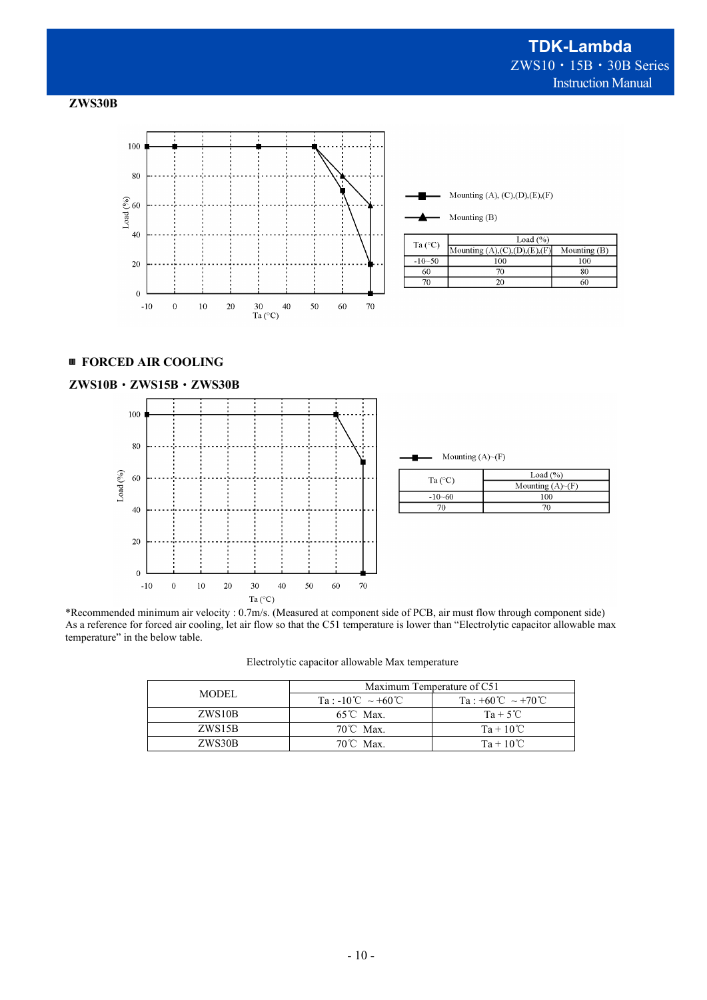





# ▥ **FORCED AIR COOLING**



| Mounting $(A)~(F)$ |                           |
|--------------------|---------------------------|
|                    | Load $(%$                 |
| Ta $(^{\circ}C)$   | Mounting $(A)$ $\neg$ (F) |
| $-10 - 60$         | 100                       |
| 70                 | 70                        |

\*Recommended minimum air velocity : 0.7m/s. (Measured at component side of PCB, air must flow through component side) As a reference for forced air cooling, let air flow so that the C51 temperature is lower than "Electrolytic capacitor allowable max temperature" in the below table.

|  |  | Electrolytic capacitor allowable Max temperature |  |
|--|--|--------------------------------------------------|--|
|--|--|--------------------------------------------------|--|

|              | Maximum Temperature of C51 |                                       |  |
|--------------|----------------------------|---------------------------------------|--|
| <b>MODEL</b> | Ta: -10°C ~ +60°C          | $Ta : +60^{\circ}C \sim +70^{\circ}C$ |  |
| ZWS10B       | $65^{\circ}$ C Max.        | $Ta + 5^{\circ}C$                     |  |
| ZWS15B       | $70^{\circ}$ C Max.        | $Ta + 10^{\circ}C$                    |  |
| ZWS30B       | $70^{\circ}$ C Max.        | $Ta + 10^{\circ}C$                    |  |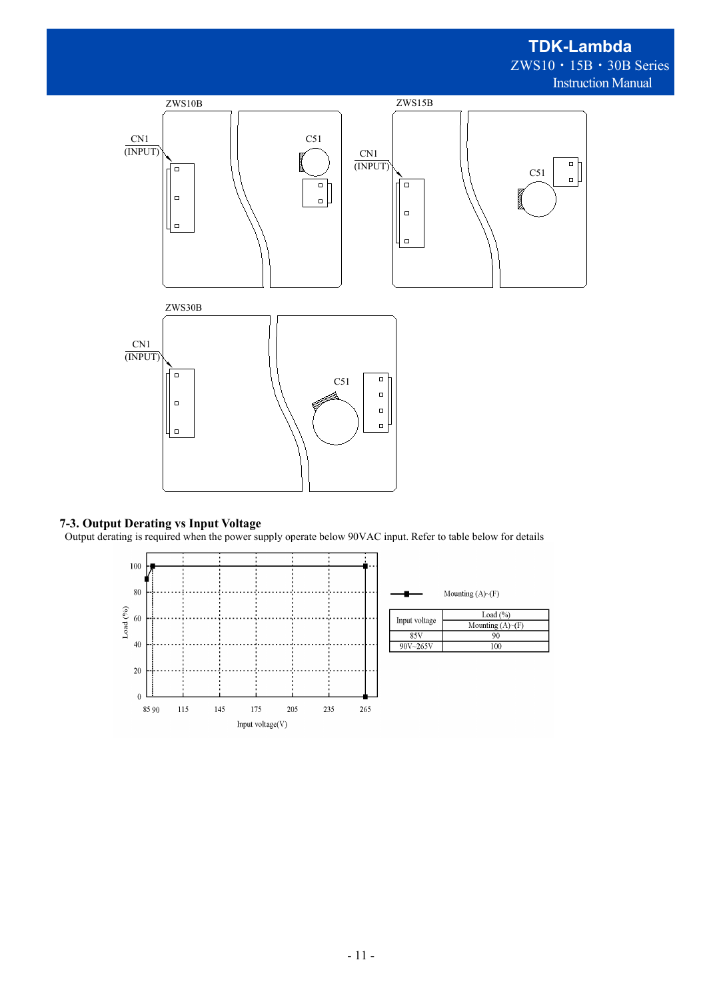# **TDK-Lambda** ZWS10・15B・30B Series Instruction Manual



## **7-3. Output Derating vs Input Voltage**

Output derating is required when the power supply operate below 90VAC input. Refer to table below for details

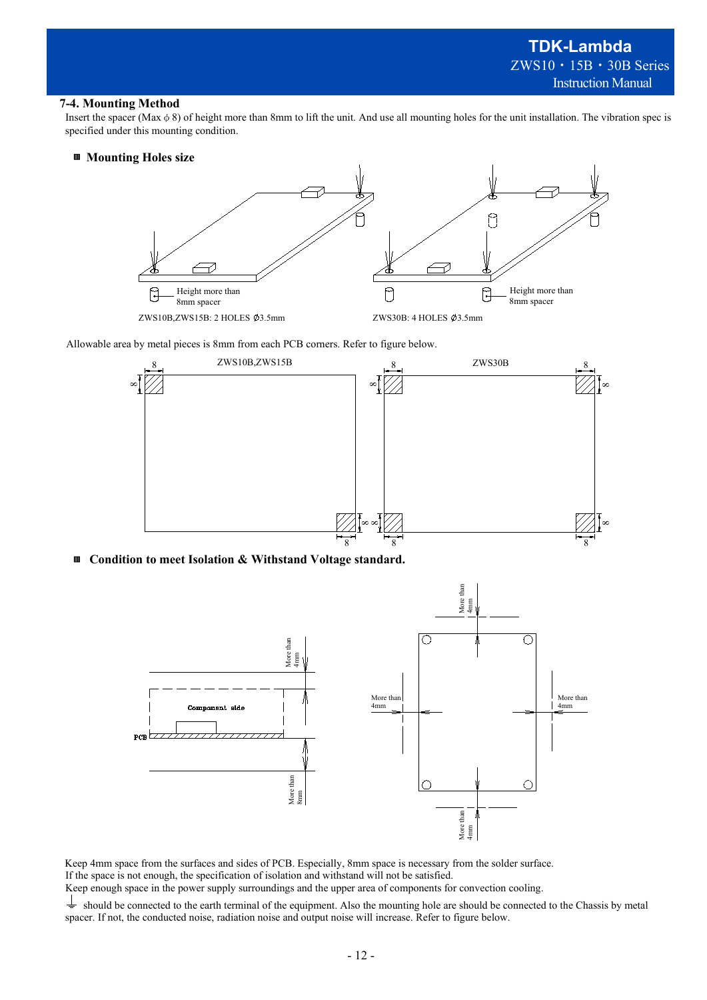#### **7-4. Mounting Method**

Insert the spacer (Max  $\phi$  8) of height more than 8mm to lift the unit. And use all mounting holes for the unit installation. The vibration spec is specified under this mounting condition.

### ▥ **Mounting Holes size**



Allowable area by metal pieces is 8mm from each PCB corners. Refer to figure below.



▥ **Condition to meet Isolation & Withstand Voltage standard.**



Keep 4mm space from the surfaces and sides of PCB. Especially, 8mm space is necessary from the solder surface. If the space is not enough, the specification of isolation and withstand will not be satisfied.

Keep enough space in the power supply surroundings and the upper area of components for convection cooling.

 $\pm$ should be connected to the earth terminal of the equipment. Also the mounting hole are should be connected to the Chassis by metal spacer. If not, the conducted noise, radiation noise and output noise will increase. Refer to figure below.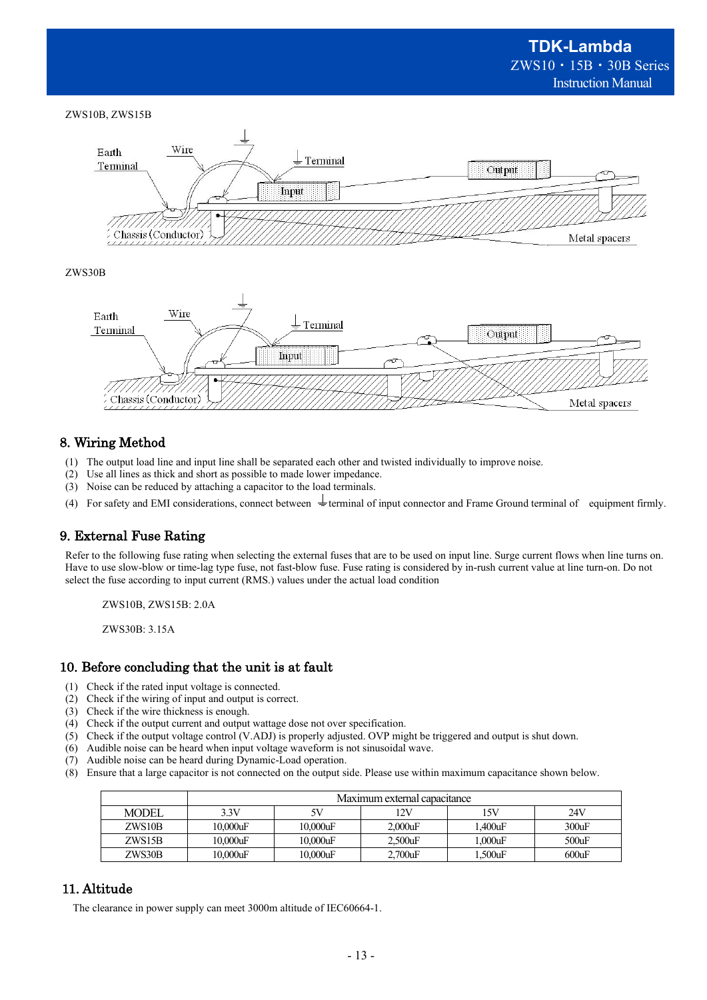#### ZWS10B, ZWS15B



#### ZWS30B



## 8. Wiring Method

- (1) The output load line and input line shall be separated each other and twisted individually to improve noise.
- (2) Use all lines as thick and short as possible to made lower impedance.
- (3) Noise can be reduced by attaching a capacitor to the load terminals.
- (4) For safety and EMI considerations, connect between  $\frac{1}{\pm}$  terminal of input connector and Frame Ground terminal of equipment firmly.

## 9. External Fuse Rating

Refer to the following fuse rating when selecting the external fuses that are to be used on input line. Surge current flows when line turns on. Have to use slow-blow or time-lag type fuse, not fast-blow fuse. Fuse rating is considered by in-rush current value at line turn-on. Do not select the fuse according to input current (RMS.) values under the actual load condition

ZWS10B, ZWS15B: 2.0A

ZWS30B: 3.15A

## 10. Before concluding that the unit is at fault

- (1) Check if the rated input voltage is connected.
- (2) Check if the wiring of input and output is correct.
- (3) Check if the wire thickness is enough.
- (4) Check if the output current and output wattage dose not over specification.
- (5) Check if the output voltage control (V.ADJ) is properly adjusted. OVP might be triggered and output is shut down.
- (6) Audible noise can be heard when input voltage waveform is not sinusoidal wave.
- (7) Audible noise can be heard during Dynamic-Load operation.
- (8) Ensure that a large capacitor is not connected on the output side. Please use within maximum capacitance shown below.

|              | Maximum external capacitance |             |            |        |          |
|--------------|------------------------------|-------------|------------|--------|----------|
| <b>MODEL</b> | 3.3V                         | 5V          | 12V        | 15V    | 24V      |
| ZWS10B       | $10.000$ uF                  | $10,000$ uF | 2.000uF    | .400uF | 300uF    |
| ZWS15B       | 10.000uF                     | $10,000$ uF | $2.500$ uF | .000uF | $500$ uF |
| ZWS30B       | 10.000uF                     | $10,000$ uF | $2.700$ uF | .500uF | 600uF    |

## 11. Altitude

The clearance in power supply can meet 3000m altitude of IEC60664-1.